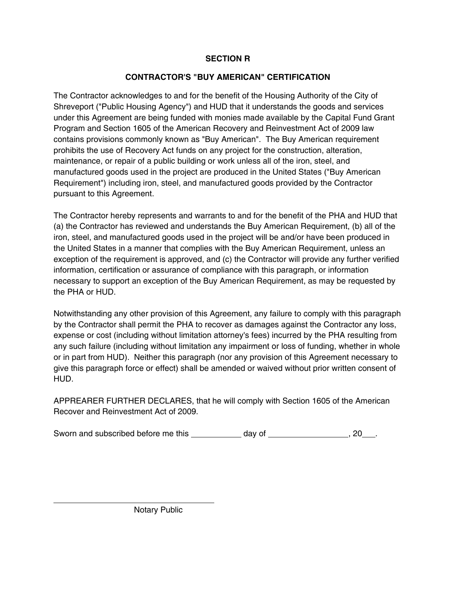## **SECTION R**

## **CONTRACTOR'S "BUY AMERICAN" CERTIFICATION**

The Contractor acknowledges to and for the benefit of the Housing Authority of the City of Shreveport ("Public Housing Agency") and HUD that it understands the goods and services under this Agreement are being funded with monies made available by the Capital Fund Grant Program and Section 1605 of the American Recovery and Reinvestment Act of 2009 law contains provisions commonly known as "Buy American". The Buy American requirement prohibits the use of Recovery Act funds on any project for the construction, alteration, maintenance, or repair of a public building or work unless all of the iron, steel, and manufactured goods used in the project are produced in the United States ("Buy American Requirement") including iron, steel, and manufactured goods provided by the Contractor pursuant to this Agreement.

The Contractor hereby represents and warrants to and for the benefit of the PHA and HUD that (a) the Contractor has reviewed and understands the Buy American Requirement, (b) all of the iron, steel, and manufactured goods used in the project will be and/or have been produced in the United States in a manner that complies with the Buy American Requirement, unless an exception of the requirement is approved, and (c) the Contractor will provide any further verified information, certification or assurance of compliance with this paragraph, or information necessary to support an exception of the Buy American Requirement, as may be requested by the PHA or HUD.

Notwithstanding any other provision of this Agreement, any failure to comply with this paragraph by the Contractor shall permit the PHA to recover as damages against the Contractor any loss, expense or cost (including without limitation attorney's fees) incurred by the PHA resulting from any such failure (including without limitation any impairment or loss of funding, whether in whole or in part from HUD). Neither this paragraph (nor any provision of this Agreement necessary to give this paragraph force or effect) shall be amended or waived without prior written consent of HUD.

APPREARER FURTHER DECLARES, that he will comply with Section 1605 of the American Recover and Reinvestment Act of 2009.

| Sworn and subscribed before me this | dav of |  |
|-------------------------------------|--------|--|
|-------------------------------------|--------|--|

Notary Public

 $\overline{a}$